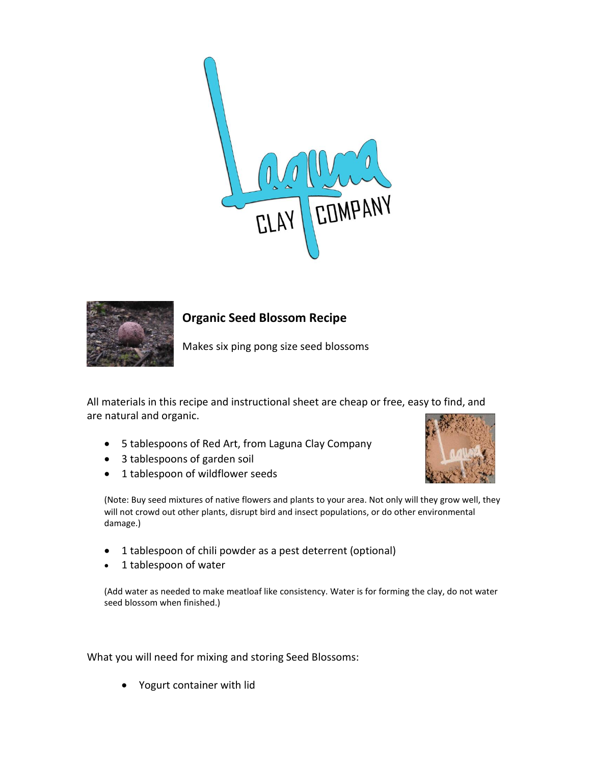



# **Organic Seed Blossom Recipe**

Makes six ping pong size seed blossoms

All materials in this recipe and instructional sheet are cheap or free, easy to find, and are natural and organic.

- 5 tablespoons of Red Art, from Laguna Clay Company
- 3 tablespoons of garden soil
- 1 tablespoon of wildflower seeds



(Note: Buy seed mixtures of native flowers and plants to your area. Not only will they grow well, they will not crowd out other plants, disrupt bird and insect populations, or do other environmental damage.)

- 1 tablespoon of chili powder as a pest deterrent (optional)
- 1 tablespoon of water

(Add water as needed to make meatloaf like consistency. Water is for forming the clay, do not water seed blossom when finished.)

What you will need for mixing and storing Seed Blossoms:

• Yogurt container with lid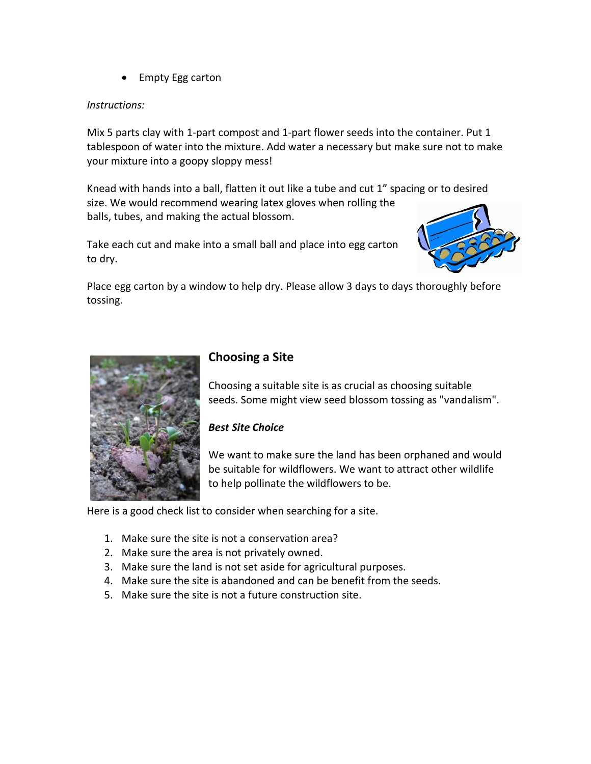• Empty Egg carton

### *Instructions:*

Mix 5 parts clay with 1-part compost and 1-part flower seeds into the container. Put 1 tablespoon of water into the mixture. Add water a necessary but make sure not to make your mixture into a goopy sloppy mess!

Knead with hands into a ball, flatten it out like a tube and cut 1" spacing or to desired size. We would recommend wearing latex gloves when rolling the balls, tubes, and making the actual blossom.

Take each cut and make into a small ball and place into egg carton to dry.



Place egg carton by a window to help dry. Please allow 3 days to days thoroughly before tossing.



## **Choosing a Site**

Choosing a suitable site is as crucial as choosing suitable seeds. Some might view seed blossom tossing as "vandalism".

### *Best Site Choice*

We want to make sure the land has been orphaned and would be suitable for wildflowers. We want to attract other wildlife to help pollinate the wildflowers to be.

Here is a good check list to consider when searching for a site.

- 1. Make sure the site is not a conservation area?
- 2. Make sure the area is not privately owned.
- 3. Make sure the land is not set aside for agricultural purposes.
- 4. Make sure the site is abandoned and can be benefit from the seeds.
- 5. Make sure the site is not a future construction site.